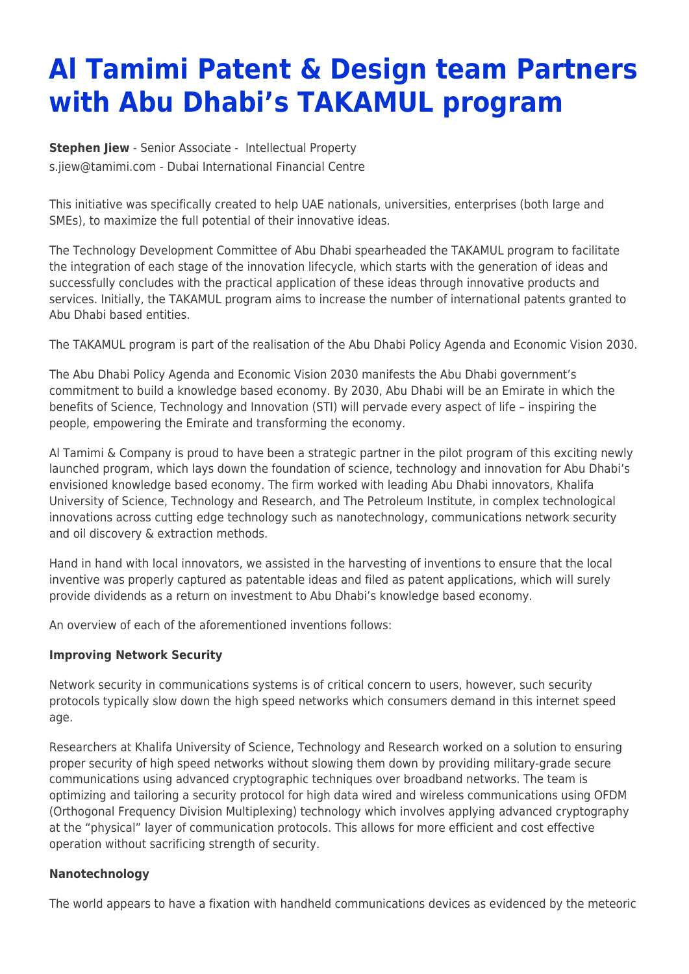## **Al Tamimi Patent & Design team Partners with Abu Dhabi's TAKAMUL program**

**[Stephen Jiew](https://www.tamimi.com/find-a-lawyer/stephen-jiew/)** - Senior Associate - [Intellectual Property](https://www.tamimi.com/client-services/practices/intellectual-property/) [s.jiew@tamimi.com](mailto:s.jiew@tamimi.com) - [Dubai International Financial Centre](https://www.tamimi.com/locations/uae/)

This initiative was specifically created to help UAE nationals, universities, enterprises (both large and SMEs), to maximize the full potential of their innovative ideas.

The Technology Development Committee of Abu Dhabi spearheaded the TAKAMUL program to facilitate the integration of each stage of the innovation lifecycle, which starts with the generation of ideas and successfully concludes with the practical application of these ideas through innovative products and services. Initially, the TAKAMUL program aims to increase the number of international patents granted to Abu Dhabi based entities.

The TAKAMUL program is part of the realisation of the Abu Dhabi Policy Agenda and Economic Vision 2030.

The Abu Dhabi Policy Agenda and Economic Vision 2030 manifests the Abu Dhabi government's commitment to build a knowledge based economy. By 2030, Abu Dhabi will be an Emirate in which the benefits of Science, Technology and Innovation (STI) will pervade every aspect of life – inspiring the people, empowering the Emirate and transforming the economy.

Al Tamimi & Company is proud to have been a strategic partner in the pilot program of this exciting newly launched program, which lays down the foundation of science, technology and innovation for Abu Dhabi's envisioned knowledge based economy. The firm worked with leading Abu Dhabi innovators, Khalifa University of Science, Technology and Research, and The Petroleum Institute, in complex technological innovations across cutting edge technology such as nanotechnology, communications network security and oil discovery & extraction methods.

Hand in hand with local innovators, we assisted in the harvesting of inventions to ensure that the local inventive was properly captured as patentable ideas and filed as patent applications, which will surely provide dividends as a return on investment to Abu Dhabi's knowledge based economy.

An overview of each of the aforementioned inventions follows:

## **Improving Network Security**

Network security in communications systems is of critical concern to users, however, such security protocols typically slow down the high speed networks which consumers demand in this internet speed age.

Researchers at Khalifa University of Science, Technology and Research worked on a solution to ensuring proper security of high speed networks without slowing them down by providing military-grade secure communications using advanced cryptographic techniques over broadband networks. The team is optimizing and tailoring a security protocol for high data wired and wireless communications using OFDM (Orthogonal Frequency Division Multiplexing) technology which involves applying advanced cryptography at the "physical" layer of communication protocols. This allows for more efficient and cost effective operation without sacrificing strength of security.

## **Nanotechnology**

The world appears to have a fixation with handheld communications devices as evidenced by the meteoric